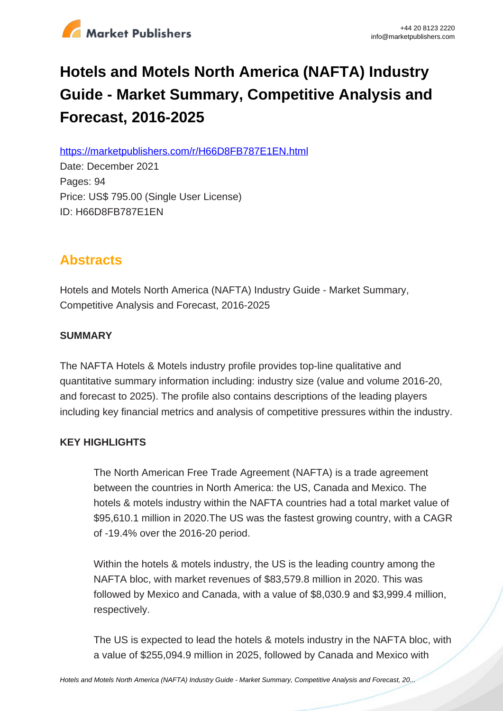

# **Hotels and Motels North America (NAFTA) Industry Guide - Market Summary, Competitive Analysis and Forecast, 2016-2025**

https://marketpublishers.com/r/H66D8FB787E1EN.html

Date: December 2021 Pages: 94 Price: US\$ 795.00 (Single User License) ID: H66D8FB787E1EN

## **Abstracts**

Hotels and Motels North America (NAFTA) Industry Guide - Market Summary, Competitive Analysis and Forecast, 2016-2025

#### **SUMMARY**

The NAFTA Hotels & Motels industry profile provides top-line qualitative and quantitative summary information including: industry size (value and volume 2016-20, and forecast to 2025). The profile also contains descriptions of the leading players including key financial metrics and analysis of competitive pressures within the industry.

### **KEY HIGHLIGHTS**

The North American Free Trade Agreement (NAFTA) is a trade agreement between the countries in North America: the US, Canada and Mexico. The hotels & motels industry within the NAFTA countries had a total market value of \$95,610.1 million in 2020.The US was the fastest growing country, with a CAGR of -19.4% over the 2016-20 period.

Within the hotels & motels industry, the US is the leading country among the NAFTA bloc, with market revenues of \$83,579.8 million in 2020. This was followed by Mexico and Canada, with a value of \$8,030.9 and \$3,999.4 million, respectively.

The US is expected to lead the hotels & motels industry in the NAFTA bloc, with a value of \$255,094.9 million in 2025, followed by Canada and Mexico with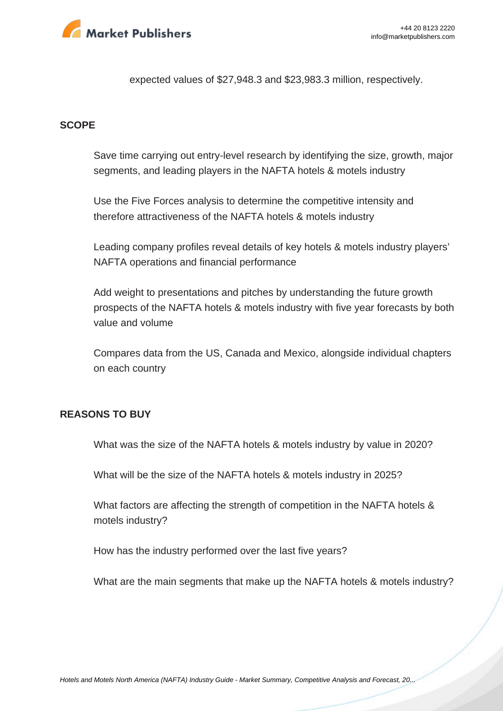

expected values of \$27,948.3 and \$23,983.3 million, respectively.

#### **SCOPE**

Save time carrying out entry-level research by identifying the size, growth, major segments, and leading players in the NAFTA hotels & motels industry

Use the Five Forces analysis to determine the competitive intensity and therefore attractiveness of the NAFTA hotels & motels industry

Leading company profiles reveal details of key hotels & motels industry players' NAFTA operations and financial performance

Add weight to presentations and pitches by understanding the future growth prospects of the NAFTA hotels & motels industry with five year forecasts by both value and volume

Compares data from the US, Canada and Mexico, alongside individual chapters on each country

#### **REASONS TO BUY**

What was the size of the NAFTA hotels & motels industry by value in 2020?

What will be the size of the NAFTA hotels & motels industry in 2025?

What factors are affecting the strength of competition in the NAFTA hotels & motels industry?

How has the industry performed over the last five years?

What are the main segments that make up the NAFTA hotels & motels industry?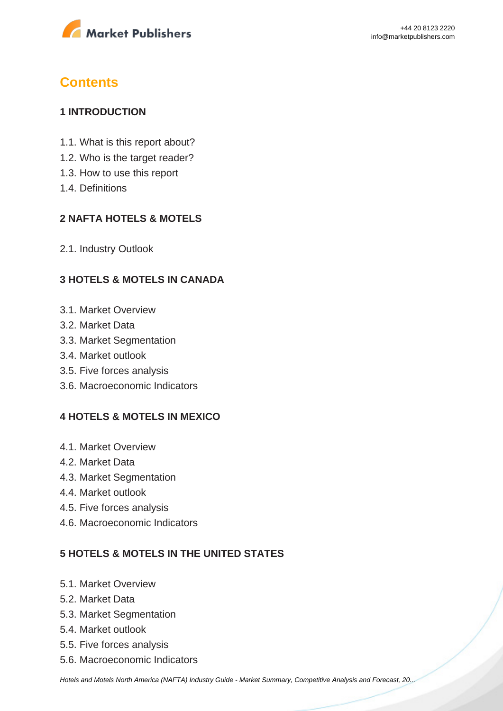

## **Contents**

#### **1 INTRODUCTION**

- 1.1. What is this report about?
- 1.2. Who is the target reader?
- 1.3. How to use this report
- 1.4. Definitions

#### **2 NAFTA HOTELS & MOTELS**

2.1. Industry Outlook

#### **3 HOTELS & MOTELS IN CANADA**

- 3.1. Market Overview
- 3.2. Market Data
- 3.3. Market Segmentation
- 3.4. Market outlook
- 3.5. Five forces analysis
- 3.6. Macroeconomic Indicators

#### **4 HOTELS & MOTELS IN MEXICO**

- 4.1. Market Overview
- 4.2. Market Data
- 4.3. Market Segmentation
- 4.4. Market outlook
- 4.5. Five forces analysis
- 4.6. Macroeconomic Indicators

### **5 HOTELS & MOTELS IN THE UNITED STATES**

- 5.1. Market Overview
- 5.2. Market Data
- 5.3. Market Segmentation
- 5.4. Market outlook
- 5.5. Five forces analysis
- 5.6. Macroeconomic Indicators

[Hotels and Motels North America \(NAFTA\) Industry Guide - Market Summary, Competitive Analysis and Forecast, 20...](https://marketpublishers.com/report/services/hotels/hotels-n-motels-north-america-nafta-industry-guide-market-summary-competitive-analysis-n-forecast-2016-2025.html)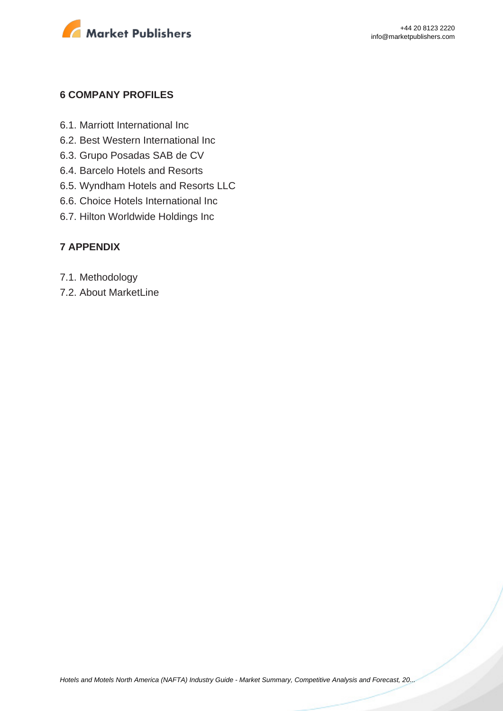

#### **6 COMPANY PROFILES**

- 6.1. Marriott International Inc
- 6.2. Best Western International Inc
- 6.3. Grupo Posadas SAB de CV
- 6.4. Barcelo Hotels and Resorts
- 6.5. Wyndham Hotels and Resorts LLC
- 6.6. Choice Hotels International Inc
- 6.7. Hilton Worldwide Holdings Inc

#### **7 APPENDIX**

- 7.1. Methodology
- 7.2. About MarketLine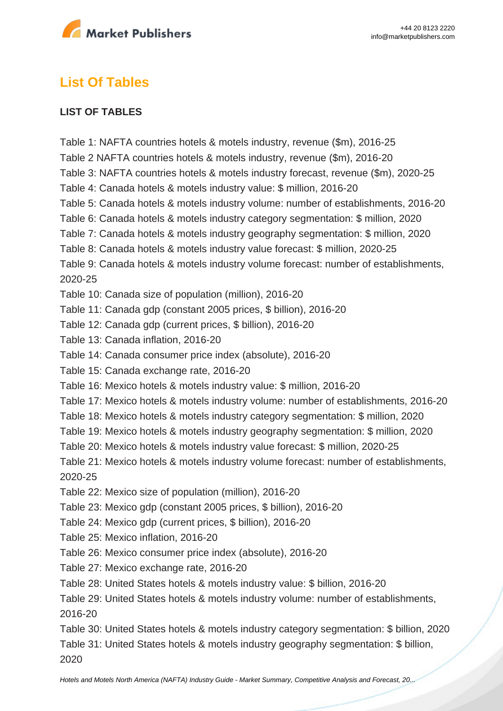

## **List Of Tables**

#### **LIST OF TABLES**

Table 1: NAFTA countries hotels & motels industry, revenue (\$m), 2016-25 Table 2 NAFTA countries hotels & motels industry, revenue (\$m), 2016-20 Table 3: NAFTA countries hotels & motels industry forecast, revenue (\$m), 2020-25 Table 4: Canada hotels & motels industry value: \$ million, 2016-20 Table 5: Canada hotels & motels industry volume: number of establishments, 2016-20 Table 6: Canada hotels & motels industry category segmentation: \$ million, 2020 Table 7: Canada hotels & motels industry geography segmentation: \$ million, 2020 Table 8: Canada hotels & motels industry value forecast: \$ million, 2020-25 Table 9: Canada hotels & motels industry volume forecast: number of establishments, 2020-25 Table 10: Canada size of population (million), 2016-20 Table 11: Canada gdp (constant 2005 prices, \$ billion), 2016-20 Table 12: Canada gdp (current prices, \$ billion), 2016-20 Table 13: Canada inflation, 2016-20 Table 14: Canada consumer price index (absolute), 2016-20 Table 15: Canada exchange rate, 2016-20 Table 16: Mexico hotels & motels industry value: \$ million, 2016-20 Table 17: Mexico hotels & motels industry volume: number of establishments, 2016-20 Table 18: Mexico hotels & motels industry category segmentation: \$ million, 2020 Table 19: Mexico hotels & motels industry geography segmentation: \$ million, 2020 Table 20: Mexico hotels & motels industry value forecast: \$ million, 2020-25 Table 21: Mexico hotels & motels industry volume forecast: number of establishments, 2020-25 Table 22: Mexico size of population (million), 2016-20 Table 23: Mexico gdp (constant 2005 prices, \$ billion), 2016-20 Table 24: Mexico gdp (current prices, \$ billion), 2016-20 Table 25: Mexico inflation, 2016-20 Table 26: Mexico consumer price index (absolute), 2016-20 Table 27: Mexico exchange rate, 2016-20 Table 28: United States hotels & motels industry value: \$ billion, 2016-20 Table 29: United States hotels & motels industry volume: number of establishments, 2016-20 Table 30: United States hotels & motels industry category segmentation: \$ billion, 2020 Table 31: United States hotels & motels industry geography segmentation: \$ billion,

2020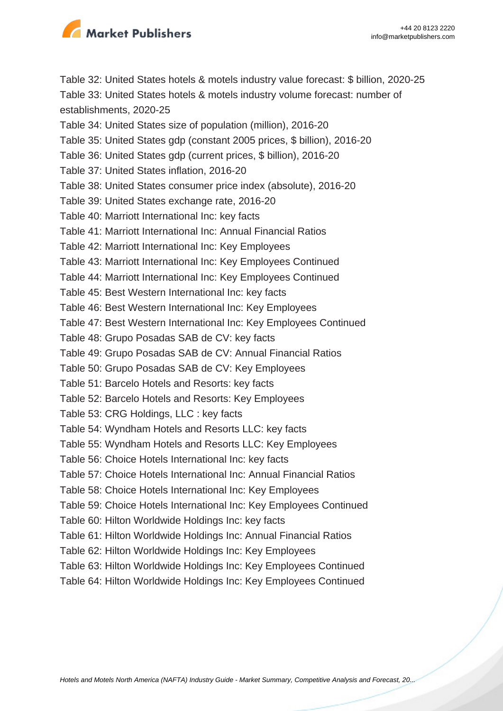

Table 32: United States hotels & motels industry value forecast: \$ billion, 2020-25 Table 33: United States hotels & motels industry volume forecast: number of establishments, 2020-25

- Table 34: United States size of population (million), 2016-20
- Table 35: United States gdp (constant 2005 prices, \$ billion), 2016-20
- Table 36: United States gdp (current prices, \$ billion), 2016-20
- Table 37: United States inflation, 2016-20
- Table 38: United States consumer price index (absolute), 2016-20
- Table 39: United States exchange rate, 2016-20
- Table 40: Marriott International Inc: key facts
- Table 41: Marriott International Inc: Annual Financial Ratios
- Table 42: Marriott International Inc: Key Employees
- Table 43: Marriott International Inc: Key Employees Continued
- Table 44: Marriott International Inc: Key Employees Continued
- Table 45: Best Western International Inc: key facts
- Table 46: Best Western International Inc: Key Employees
- Table 47: Best Western International Inc: Key Employees Continued
- Table 48: Grupo Posadas SAB de CV: key facts
- Table 49: Grupo Posadas SAB de CV: Annual Financial Ratios
- Table 50: Grupo Posadas SAB de CV: Key Employees
- Table 51: Barcelo Hotels and Resorts: key facts
- Table 52: Barcelo Hotels and Resorts: Key Employees
- Table 53: CRG Holdings, LLC : key facts
- Table 54: Wyndham Hotels and Resorts LLC: key facts
- Table 55: Wyndham Hotels and Resorts LLC: Key Employees
- Table 56: Choice Hotels International Inc: key facts
- Table 57: Choice Hotels International Inc: Annual Financial Ratios
- Table 58: Choice Hotels International Inc: Key Employees
- Table 59: Choice Hotels International Inc: Key Employees Continued
- Table 60: Hilton Worldwide Holdings Inc: key facts
- Table 61: Hilton Worldwide Holdings Inc: Annual Financial Ratios
- Table 62: Hilton Worldwide Holdings Inc: Key Employees
- Table 63: Hilton Worldwide Holdings Inc: Key Employees Continued
- Table 64: Hilton Worldwide Holdings Inc: Key Employees Continued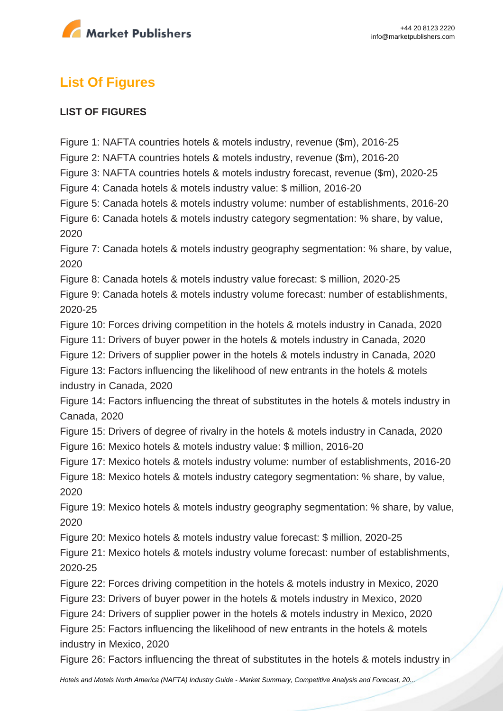

# **List Of Figures**

#### **LIST OF FIGURES**

Figure 1: NAFTA countries hotels & motels industry, revenue (\$m), 2016-25

Figure 2: NAFTA countries hotels & motels industry, revenue (\$m), 2016-20

Figure 3: NAFTA countries hotels & motels industry forecast, revenue (\$m), 2020-25

Figure 4: Canada hotels & motels industry value: \$ million, 2016-20

Figure 5: Canada hotels & motels industry volume: number of establishments, 2016-20

Figure 6: Canada hotels & motels industry category segmentation: % share, by value, 2020

Figure 7: Canada hotels & motels industry geography segmentation: % share, by value, 2020

Figure 8: Canada hotels & motels industry value forecast: \$ million, 2020-25

Figure 9: Canada hotels & motels industry volume forecast: number of establishments, 2020-25

Figure 10: Forces driving competition in the hotels & motels industry in Canada, 2020

Figure 11: Drivers of buyer power in the hotels & motels industry in Canada, 2020

Figure 12: Drivers of supplier power in the hotels & motels industry in Canada, 2020

Figure 13: Factors influencing the likelihood of new entrants in the hotels & motels industry in Canada, 2020

Figure 14: Factors influencing the threat of substitutes in the hotels & motels industry in Canada, 2020

Figure 15: Drivers of degree of rivalry in the hotels & motels industry in Canada, 2020

Figure 16: Mexico hotels & motels industry value: \$ million, 2016-20

Figure 17: Mexico hotels & motels industry volume: number of establishments, 2016-20 Figure 18: Mexico hotels & motels industry category segmentation: % share, by value, 2020

Figure 19: Mexico hotels & motels industry geography segmentation: % share, by value, 2020

Figure 20: Mexico hotels & motels industry value forecast: \$ million, 2020-25

Figure 21: Mexico hotels & motels industry volume forecast: number of establishments, 2020-25

Figure 22: Forces driving competition in the hotels & motels industry in Mexico, 2020

Figure 23: Drivers of buyer power in the hotels & motels industry in Mexico, 2020

Figure 24: Drivers of supplier power in the hotels & motels industry in Mexico, 2020

Figure 25: Factors influencing the likelihood of new entrants in the hotels & motels industry in Mexico, 2020

Figure 26: Factors influencing the threat of substitutes in the hotels & motels industry in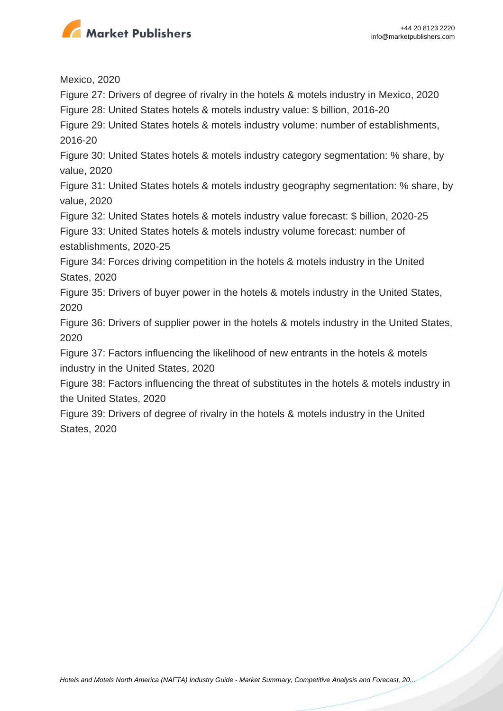

Mexico, 2020

Figure 27: Drivers of degree of rivalry in the hotels & motels industry in Mexico, 2020

Figure 28: United States hotels & motels industry value: \$ billion, 2016-20

Figure 29: United States hotels & motels industry volume: number of establishments, 2016-20

Figure 30: United States hotels & motels industry category segmentation: % share, by value, 2020

Figure 31: United States hotels & motels industry geography segmentation: % share, by value, 2020

Figure 32: United States hotels & motels industry value forecast: \$ billion, 2020-25

Figure 33: United States hotels & motels industry volume forecast: number of establishments, 2020-25

Figure 34: Forces driving competition in the hotels & motels industry in the United States, 2020

Figure 35: Drivers of buyer power in the hotels & motels industry in the United States, 2020

Figure 36: Drivers of supplier power in the hotels & motels industry in the United States, 2020

Figure 37: Factors influencing the likelihood of new entrants in the hotels & motels industry in the United States, 2020

Figure 38: Factors influencing the threat of substitutes in the hotels & motels industry in the United States, 2020

Figure 39: Drivers of degree of rivalry in the hotels & motels industry in the United States, 2020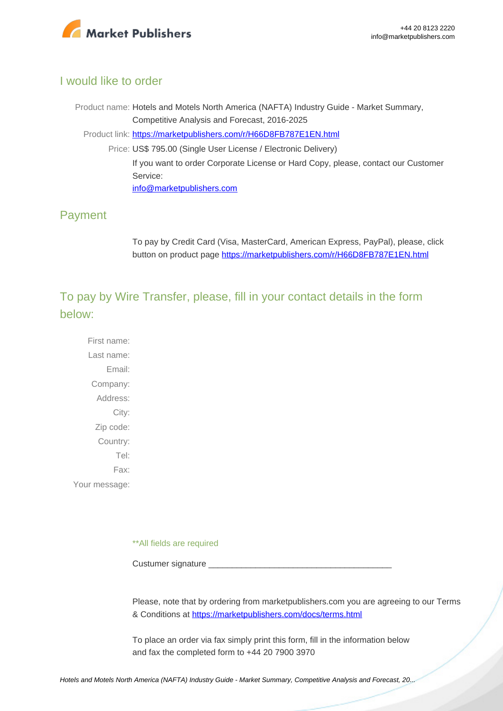

#### I would like to order

Product name: Hotels and Motels North America (NAFTA) Industry Guide - Market Summary, Competitive Analysis and Forecast, 2016-2025 Product link: [https://marketpublishers.com/r/H66D8FB787E1EN.html](https://marketpublishers.com/report/services/hotels/hotels-n-motels-north-america-nafta-industry-guide-market-summary-competitive-analysis-n-forecast-2016-2025.html) Price: US\$ 795.00 (Single User License / Electronic Delivery) If you want to order Corporate License or Hard Copy, please, contact our Customer Service: [info@marketpublishers.com](mailto:info@marketpublishers.com)

### Payment

To pay by Credit Card (Visa, MasterCard, American Express, PayPal), please, click button on product page [https://marketpublishers.com/r/H66D8FB787E1EN.html](https://marketpublishers.com/report/services/hotels/hotels-n-motels-north-america-nafta-industry-guide-market-summary-competitive-analysis-n-forecast-2016-2025.html)

To pay by Wire Transfer, please, fill in your contact details in the form below:

First name: Last name: Email: Company: Address: City: Zip code: Country: Tel: Fax: Your message:

\*\*All fields are required

Custumer signature

Please, note that by ordering from marketpublishers.com you are agreeing to our Terms & Conditions at<https://marketpublishers.com/docs/terms.html>

To place an order via fax simply print this form, fill in the information below and fax the completed form to +44 20 7900 3970